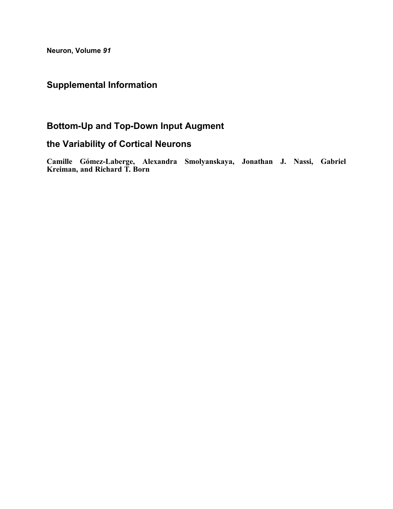Neuron, Volume 91

# Supplemental Information

# Bottom-Up and Top-Down Input Augment

## the Variability of Cortical Neurons

Camille Gómez-Laberge, Alexandra Smolyanskaya, Jonathan J. Nassi, Gabriel Kreiman, and Richard T. Born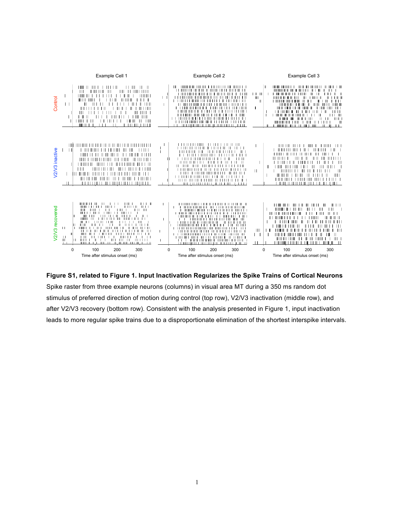

**Figure S1, related to Figure 1. Input Inactivation Regularizes the Spike Trains of Cortical Neurons** Spike raster from three example neurons (columns) in visual area MT during a 350 ms random dot stimulus of preferred direction of motion during control (top row), V2/V3 inactivation (middle row), and after V2/V3 recovery (bottom row). Consistent with the analysis presented in Figure 1, input inactivation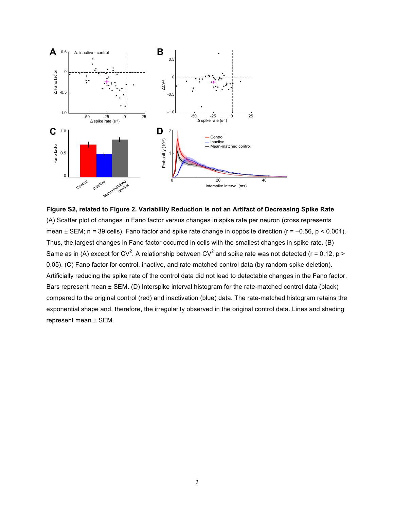

**Figure S2, related to Figure 2. Variability Reduction is not an Artifact of Decreasing Spike Rate** (A) Scatter plot of changes in Fano factor versus changes in spike rate per neuron (cross represents mean  $\pm$  SEM; n = 39 cells). Fano factor and spike rate change in opposite direction ( $r = -0.56$ ,  $p < 0.001$ ). Thus, the largest changes in Fano factor occurred in cells with the smallest changes in spike rate. (B) Same as in (A) except for CV<sup>2</sup>. A relationship between CV<sup>2</sup> and spike rate was not detected (r = 0.12, p > 0.05). (C) Fano factor for control, inactive, and rate-matched control data (by random spike deletion). Artificially reducing the spike rate of the control data did not lead to detectable changes in the Fano factor. Bars represent mean ± SEM. (D) Interspike interval histogram for the rate-matched control data (black) compared to the original control (red) and inactivation (blue) data. The rate-matched histogram retains the exponential shape and, therefore, the irregularity observed in the original control data. Lines and shading represent mean ± SEM.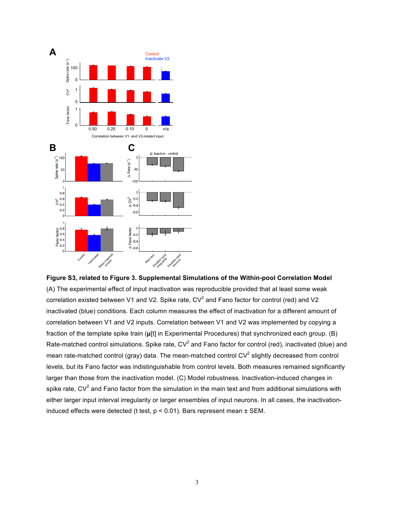

**Figure S3, related to Figure 3. Supplemental Simulations of the Within-pool Correlation Model** (A) The experimental effect of input inactivation was reproducible provided that at least some weak correlation existed between V1 and V2. Spike rate,  $CV<sup>2</sup>$  and Fano factor for control (red) and V2 inactivated (blue) conditions. Each column measures the effect of inactivation for a different amount of correlation between V1 and V2 inputs. Correlation between V1 and V2 was implemented by copying a fraction of the template spike train (**μ**[t] in Experimental Procedures) that synchronized each group. (B) Rate-matched control simulations. Spike rate,  $CV^2$  and Fano factor for control (red), inactivated (blue) and mean rate-matched control (gray) data. The mean-matched control  $CV^2$  slightly decreased from control levels, but its Fano factor was indistinguishable from control levels. Both measures remained significantly larger than those from the inactivation model. (C) Model robustness. Inactivation-induced changes in spike rate,  $CV<sup>2</sup>$  and Fano factor from the simulation in the main text and from additional simulations with either larger input interval irregularity or larger ensembles of input neurons. In all cases, the inactivationinduced effects were detected (t test,  $p < 0.01$ ). Bars represent mean  $\pm$  SEM.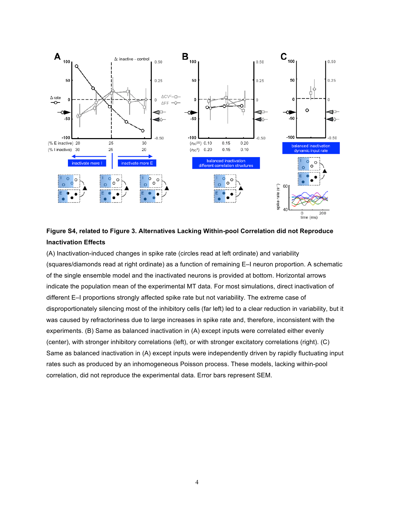

### **Figure S4, related to Figure 3. Alternatives Lacking Within-pool Correlation did not Reproduce Inactivation Effects**

(A) Inactivation-induced changes in spike rate (circles read at left ordinate) and variability (squares/diamonds read at right ordinate) as a function of remaining E–I neuron proportion. A schematic of the single ensemble model and the inactivated neurons is provided at bottom. Horizontal arrows indicate the population mean of the experimental MT data. For most simulations, direct inactivation of different E–I proportions strongly affected spike rate but not variability. The extreme case of disproportionately silencing most of the inhibitory cells (far left) led to a clear reduction in variability, but it was caused by refractoriness due to large increases in spike rate and, therefore, inconsistent with the experiments. (B) Same as balanced inactivation in (A) except inputs were correlated either evenly (center), with stronger inhibitory correlations (left), or with stronger excitatory correlations (right). (C) Same as balanced inactivation in (A) except inputs were independently driven by rapidly fluctuating input rates such as produced by an inhomogeneous Poisson process. These models, lacking within-pool correlation, did not reproduce the experimental data. Error bars represent SEM.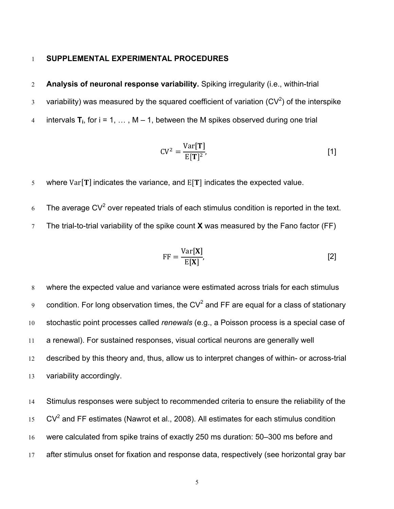#### 1 **SUPPLEMENTAL EXPERIMENTAL PROCEDURES**

- 2 **Analysis of neuronal response variability.** Spiking irregularity (i.e., within-trial
- $3$  variability) was measured by the squared coefficient of variation (CV<sup>2</sup>) of the interspike
- 4 intervals  $T_i$ , for  $i = 1, ..., M 1$ , between the M spikes observed during one trial

$$
CV^2 = \frac{Var[T]}{E[T]^2},
$$
 [1]

- 5 where  $Var[T]$  indicates the variance, and  $E[T]$  indicates the expected value.
- 6 The average  $CV^2$  over repeated trials of each stimulus condition is reported in the text.
- 7 The trial-to-trial variability of the spike count **X** was measured by the Fano factor (FF)

$$
FF = \frac{\text{Var}[\mathbf{X}]}{\text{E}[\mathbf{X}]},\tag{2}
$$

 where the expected value and variance were estimated across trials for each stimulus 9 condition. For long observation times, the CV<sup>2</sup> and FF are equal for a class of stationary stochastic point processes called *renewals* (e.g., a Poisson process is a special case of a renewal). For sustained responses, visual cortical neurons are generally well described by this theory and, thus, allow us to interpret changes of within- or across-trial variability accordingly.

 Stimulus responses were subject to recommended criteria to ensure the reliability of the CV<sup>2</sup> and FF estimates (Nawrot et al., 2008). All estimates for each stimulus condition were calculated from spike trains of exactly 250 ms duration: 50–300 ms before and 17 after stimulus onset for fixation and response data, respectively (see horizontal gray bar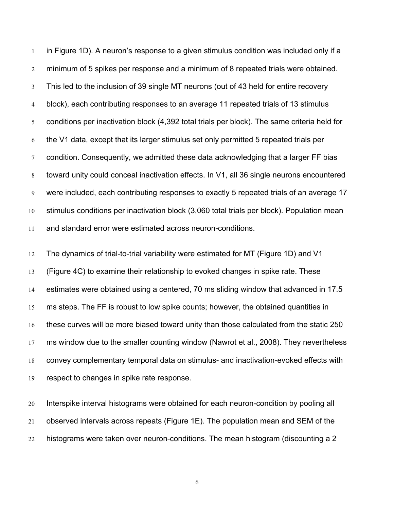in Figure 1D). A neuron's response to a given stimulus condition was included only if a minimum of 5 spikes per response and a minimum of 8 repeated trials were obtained. This led to the inclusion of 39 single MT neurons (out of 43 held for entire recovery block), each contributing responses to an average 11 repeated trials of 13 stimulus conditions per inactivation block (4,392 total trials per block). The same criteria held for the V1 data, except that its larger stimulus set only permitted 5 repeated trials per condition. Consequently, we admitted these data acknowledging that a larger FF bias toward unity could conceal inactivation effects. In V1, all 36 single neurons encountered were included, each contributing responses to exactly 5 repeated trials of an average 17 stimulus conditions per inactivation block (3,060 total trials per block). Population mean and standard error were estimated across neuron-conditions.

 The dynamics of trial-to-trial variability were estimated for MT (Figure 1D) and V1 (Figure 4C) to examine their relationship to evoked changes in spike rate. These estimates were obtained using a centered, 70 ms sliding window that advanced in 17.5 ms steps. The FF is robust to low spike counts; however, the obtained quantities in these curves will be more biased toward unity than those calculated from the static 250 ms window due to the smaller counting window (Nawrot et al., 2008). They nevertheless convey complementary temporal data on stimulus- and inactivation-evoked effects with respect to changes in spike rate response.

 Interspike interval histograms were obtained for each neuron-condition by pooling all observed intervals across repeats (Figure 1E). The population mean and SEM of the histograms were taken over neuron-conditions. The mean histogram (discounting a 2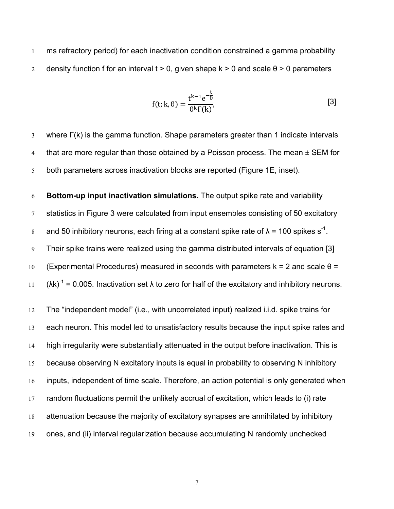ms refractory period) for each inactivation condition constrained a gamma probability 2 density function f for an interval t  $> 0$ , given shape k  $> 0$  and scale  $\theta$   $> 0$  parameters

$$
f(t; k, \theta) = \frac{t^{k-1} e^{-\frac{t}{\theta}}}{\theta^k \Gamma(k)},
$$
\n[3]

 where Γ(k) is the gamma function. Shape parameters greater than 1 indicate intervals 4 that are more regular than those obtained by a Poisson process. The mean  $\pm$  SEM for both parameters across inactivation blocks are reported (Figure 1E, inset).

 **Bottom-up input inactivation simulations.** The output spike rate and variability statistics in Figure 3 were calculated from input ensembles consisting of 50 excitatory and 50 inhibitory neurons, each firing at a constant spike rate of  $\lambda = 100$  spikes s<sup>-1</sup>. Their spike trains were realized using the gamma distributed intervals of equation [3] 10 (Experimental Procedures) measured in seconds with parameters  $k = 2$  and scale  $\theta =$  $(\lambda k)^{-1} = 0.005$ . Inactivation set  $\lambda$  to zero for half of the excitatory and inhibitory neurons.

 The "independent model" (i.e., with uncorrelated input) realized i.i.d. spike trains for each neuron. This model led to unsatisfactory results because the input spike rates and high irregularity were substantially attenuated in the output before inactivation. This is because observing N excitatory inputs is equal in probability to observing N inhibitory inputs, independent of time scale. Therefore, an action potential is only generated when random fluctuations permit the unlikely accrual of excitation, which leads to (i) rate attenuation because the majority of excitatory synapses are annihilated by inhibitory ones, and (ii) interval regularization because accumulating N randomly unchecked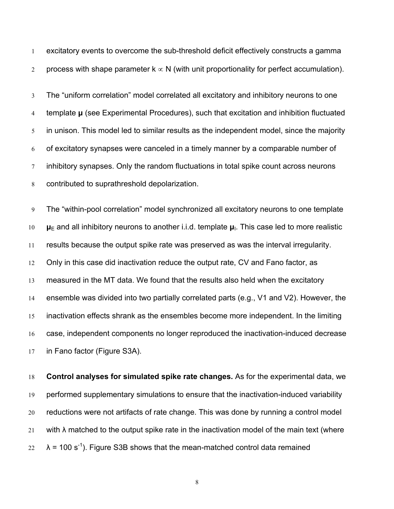excitatory events to overcome the sub-threshold deficit effectively constructs a gamma 2 process with shape parameter  $k \propto N$  (with unit proportionality for perfect accumulation).

 The "uniform correlation" model correlated all excitatory and inhibitory neurons to one template **μ** (see Experimental Procedures), such that excitation and inhibition fluctuated in unison. This model led to similar results as the independent model, since the majority of excitatory synapses were canceled in a timely manner by a comparable number of inhibitory synapses. Only the random fluctuations in total spike count across neurons contributed to suprathreshold depolarization.

 The "within-pool correlation" model synchronized all excitatory neurons to one template **μ**<sup>E</sup> and all inhibitory neurons to another i.i.d. template **μ**I. This case led to more realistic results because the output spike rate was preserved as was the interval irregularity. Only in this case did inactivation reduce the output rate, CV and Fano factor, as measured in the MT data. We found that the results also held when the excitatory ensemble was divided into two partially correlated parts (e.g., V1 and V2). However, the inactivation effects shrank as the ensembles become more independent. In the limiting case, independent components no longer reproduced the inactivation-induced decrease in Fano factor (Figure S3A).

 **Control analyses for simulated spike rate changes.** As for the experimental data, we performed supplementary simulations to ensure that the inactivation-induced variability reductions were not artifacts of rate change. This was done by running a control model 21 with  $\lambda$  matched to the output spike rate in the inactivation model of the main text (where  $\lambda$  = 100 s<sup>-1</sup>). Figure S3B shows that the mean-matched control data remained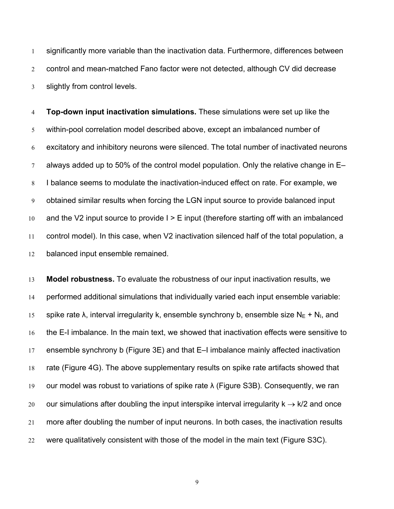significantly more variable than the inactivation data. Furthermore, differences between control and mean-matched Fano factor were not detected, although CV did decrease slightly from control levels.

 **Top-down input inactivation simulations.** These simulations were set up like the within-pool correlation model described above, except an imbalanced number of excitatory and inhibitory neurons were silenced. The total number of inactivated neurons always added up to 50% of the control model population. Only the relative change in E– I balance seems to modulate the inactivation-induced effect on rate. For example, we obtained similar results when forcing the LGN input source to provide balanced input 10 and the V2 input source to provide  $I > E$  input (therefore starting off with an imbalanced control model). In this case, when V2 inactivation silenced half of the total population, a balanced input ensemble remained.

 **Model robustness.** To evaluate the robustness of our input inactivation results, we performed additional simulations that individually varied each input ensemble variable: 15 spike rate  $\lambda$ , interval irregularity k, ensemble synchrony b, ensemble size N<sub>E</sub> + N<sub>I</sub>, and the E-I imbalance. In the main text, we showed that inactivation effects were sensitive to ensemble synchrony b (Figure 3E) and that E–I imbalance mainly affected inactivation rate (Figure 4G). The above supplementary results on spike rate artifacts showed that our model was robust to variations of spike rate λ (Figure S3B). Consequently, we ran 20 our simulations after doubling the input interspike interval irregularity  $k \rightarrow k/2$  and once more after doubling the number of input neurons. In both cases, the inactivation results were qualitatively consistent with those of the model in the main text (Figure S3C).